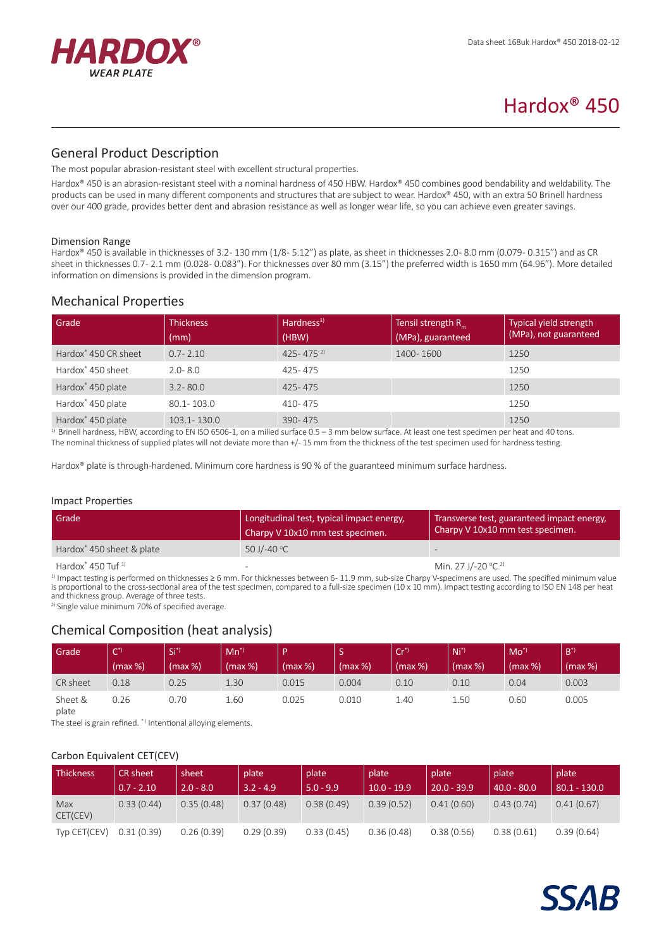



# General Product Description

The most popular abrasion-resistant steel with excellent structural properties.

Hardox® 450 is an abrasion-resistant steel with a nominal hardness of 450 HBW. Hardox® 450 combines good bendability and weldability. The products can be used in many different components and structures that are subject to wear. Hardox® 450, with an extra 50 Brinell hardness over our 400 grade, provides better dent and abrasion resistance as well as longer wear life, so you can achieve even greater savings.

### Dimension Range

Hardox® 450 is available in thicknesses of 3.2-130 mm (1/8-5.12") as plate, as sheet in thicknesses 2.0-8.0 mm (0.079-0.315") and as CR sheet in thicknesses 0.7 - 2.1 mm (0.028 - 0.083"). For thicknesses over 80 mm (3.15") the preferred width is 1650 mm (64.96"). More detailed information on dimensions is provided in the dimension program.

# Mechanical Properties

| Grade                            | <b>Thickness</b><br>(mm) | Hardness <sup>1</sup><br>(HBW) | Tensil strength $R_{m}$<br>(MPa), guaranteed | Typical yield strength<br>(MPa), not guaranteed |
|----------------------------------|--------------------------|--------------------------------|----------------------------------------------|-------------------------------------------------|
| Hardox <sup>®</sup> 450 CR sheet | $0.7 - 2.10$             | $425 - 475$ <sup>2)</sup>      | 1400-1600                                    | 1250                                            |
| Hardox <sup>®</sup> 450 sheet    | $2.0 - 8.0$              | 425-475                        |                                              | 1250                                            |
| Hardox <sup>®</sup> 450 plate    | $3.2 - 80.0$             | $425 - 475$                    |                                              | 1250                                            |
| Hardox <sup>®</sup> 450 plate    | $80.1 - 103.0$           | 410-475                        |                                              | 1250                                            |
| Hardox <sup>®</sup> 450 plate    | $103.1 - 130.0$          | 390-475                        |                                              | 1250                                            |

1) Brinell hardness, HBW, according to EN ISO 6506-1, on a milled surface 0.5 - 3 mm below surface. At least one test specimen per heat and 40 tons. The nominal thickness of supplied plates will not deviate more than +/- 15 mm from the thickness of the test specimen used for hardness testing.

Hardox® plate is through-hardened. Minimum core hardness is 90 % of the guaranteed minimum surface hardness.

#### Impact Properties

| Grade                                   | Longitudinal test, typical impact energy,<br>Charpy V 10x10 mm test specimen. | Transverse test, guaranteed impact energy.<br>Charpy V 10x10 mm test specimen. |  |  |
|-----------------------------------------|-------------------------------------------------------------------------------|--------------------------------------------------------------------------------|--|--|
| Hardox <sup>®</sup> 450 sheet & plate   | 50 J/-40 °C                                                                   |                                                                                |  |  |
| Hardox $^{\circ}$ 450 Tuf <sup>1)</sup> |                                                                               | Min. 27 J/-20 °C $^{2}$ )                                                      |  |  |

Hardox $\degree$  450 Tuf  $\frac{1}{2}$ 

<sup>1)</sup> Impact testing is performed on thicknesses ≥ 6 mm. For thicknesses between 6-11.9 mm, sub-size Charpy V-specimens are used. The specified minimum value is proportional to the cross-sectional area of the test specimen, compared to a full-size specimen (10 x 10 mm). Impact testing according to ISO EN 148 per heat and thickness group. Average of three tests.

2) Single value minimum 70% of specified average.

## Chemical Composition (heat analysis)

| Grade            | $\cap^*$<br>๛ | 'Si*)   | $Mn^*$  | D.      |           | $Cr^{\ast}$<br>◡ | $Ni*$   | $Mo^*$  | $B^*$   |
|------------------|---------------|---------|---------|---------|-----------|------------------|---------|---------|---------|
|                  | (max %)       | (max %) | (max %) | (max %) | $(max %)$ | $(max %)$        | (max %) | (max %) | (max %) |
| CR sheet         | 0.18          | 0.25    | 1.30    | 0.015   | 0.004     | 0.10             | 0.10    | 0.04    | 0.003   |
| Sheet &<br>plate | 0.26          | 0.70    | 1.60    | 0.025   | 0.010     | 1.40             | 1.50    | 0.60    | 0.005   |

The steel is grain refined. \* Intentional alloying elements.

### Carbon Equivalent CET(CEV)

| <b>Thickness</b> | <b>CR</b> sheet<br>$0.7 - 2.10$ | sheet<br>$2.0 - 8.0$ | plate<br>$3.2 - 4.9$ | plate<br>$5.0 - 9.9$ | plate<br>$10.0 - 19.9$ | plate<br>$20.0 - 39.9$ | plate<br>$40.0 - 80.0$ | plate<br>$80.1 - 130.0$ |
|------------------|---------------------------------|----------------------|----------------------|----------------------|------------------------|------------------------|------------------------|-------------------------|
| Max<br>CET(CEV)  | 0.33(0.44)                      | 0.35(0.48)           | 0.37(0.48)           | 0.38(0.49)           | 0.39(0.52)             | 0.41(0.60)             | 0.43(0.74)             | 0.41(0.67)              |
| Typ CET(CEV)     | 0.31(0.39)                      | 0.26(0.39)           | 0.29(0.39)           | 0.33(0.45)           | 0.36(0.48)             | 0.38(0.56)             | 0.38(0.61)             | 0.39(0.64)              |